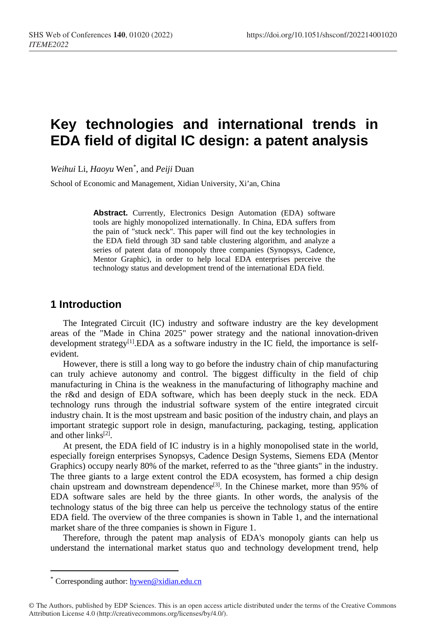# **Key technologies and international trends in EDA field of digital IC design: a patent analysis**

*Weihui* Li, *Haoyu* Wen[\\*](#page-0-0) , and *Peiji* Duan

School of Economic and Management, Xidian University, Xi'an, China

**Abstract.** Currently, Electronics Design Automation (EDA) software tools are highly monopolized internationally. In China, EDA suffers from the pain of "stuck neck". This paper will find out the key technologies in the EDA field through 3D sand table clustering algorithm, and analyze a series of patent data of monopoly three companies (Synopsys, Cadence, Mentor Graphic), in order to help local EDA enterprises perceive the technology status and development trend of the international EDA field.

### **1 Introduction**

The Integrated Circuit (IC) industry and software industry are the key development areas of the "Made in China 2025" power strategy and the national innovation-driven development strategy<sup>[1]</sup>.EDA as a software industry in the IC field, the importance is selfevident.

However, there is still a long way to go before the industry chain of chip manufacturing can truly achieve autonomy and control. The biggest difficulty in the field of chip manufacturing in China is the weakness in the manufacturing of lithography machine and the r&d and design of EDA software, which has been deeply stuck in the neck. EDA technology runs through the industrial software system of the entire integrated circuit industry chain. It is the most upstream and basic position of the industry chain, and plays an important strategic support role in design, manufacturing, packaging, testing, application and other links<sup>[2]</sup>.

At present, the EDA field of IC industry is in a highly monopolised state in the world, especially foreign enterprises Synopsys, Cadence Design Systems, Siemens EDA (Mentor Graphics) occupy nearly 80% of the market, referred to as the "three giants" in the industry. The three giants to a large extent control the EDA ecosystem, has formed a chip design chain upstream and downstream dependence<sup>[3]</sup>. In the Chinese market, more than 95% of EDA software sales are held by the three giants. In other words, the analysis of the technology status of the big three can help us perceive the technology status of the entire EDA field. The overview of the three companies is shown in Table 1, and the international market share of the three companies is shown in Figure 1.

Therefore, through the patent map analysis of EDA's monopoly giants can help us understand the international market status quo and technology development trend, help

 $\overline{a}$ 

<sup>\*</sup> Corresponding author: [hywen@xidian.edu.cn](mailto:author@email.org)

<span id="page-0-0"></span><sup>©</sup> The Authors, published by EDP Sciences. This is an open access article distributed under the terms of the Creative Commons Attribution License 4.0 (http://creativecommons.org/licenses/by/4.0/).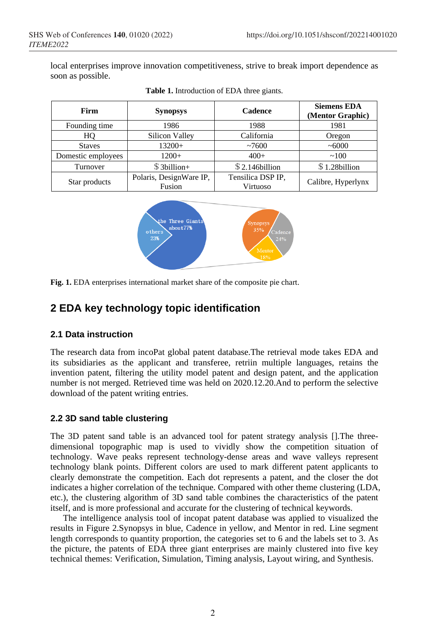local enterprises improve innovation competitiveness, strive to break import dependence as soon as possible.

| Firm               | <b>Synopsys</b>         | <b>Cadence</b>    | <b>Siemens EDA</b><br>(Mentor Graphic) |  |
|--------------------|-------------------------|-------------------|----------------------------------------|--|
| Founding time      | 1986                    | 1988              | 1981                                   |  |
| HO                 | <b>Silicon Valley</b>   | California        | Oregon                                 |  |
| <b>Staves</b>      | $13200+$                | ~1000             | ~1000                                  |  |
| Domestic employees | $1200+$                 | $400+$            | ~100                                   |  |
| Turnover           | $$3$ billion+           | $$2.146$ billion  | $$1.28$ billion                        |  |
| Star products      | Polaris, DesignWare IP, | Tensilica DSP IP, | Calibre, Hyperlynx                     |  |
|                    | Fusion                  | Virtuoso          |                                        |  |

**Table 1.** Introduction of EDA three giants.



**Fig. 1.** EDA enterprises international market share of the composite pie chart.

## **2 EDA key technology topic identification**

#### **2.1 Data instruction**

The research data from incoPat global patent database.The retrieval mode takes EDA and its subsidiaries as the applicant and transferee, retriin multiple languages, retains the invention patent, filtering the utility model patent and design patent, and the application number is not merged. Retrieved time was held on 2020.12.20.And to perform the selective download of the patent writing entries.

#### **2.2 3D sand table clustering**

The 3D patent sand table is an advanced tool for patent strategy analysis [].The threedimensional topographic map is used to vividly show the competition situation of technology. Wave peaks represent technology-dense areas and wave valleys represent technology blank points. Different colors are used to mark different patent applicants to clearly demonstrate the competition. Each dot represents a patent, and the closer the dot indicates a higher correlation of the technique. Compared with other theme clustering (LDA, etc.), the clustering algorithm of 3D sand table combines the characteristics of the patent itself, and is more professional and accurate for the clustering of technical keywords.

The intelligence analysis tool of incopat patent database was applied to visualized the results in Figure 2.Synopsys in blue, Cadence in yellow, and Mentor in red. Line segment length corresponds to quantity proportion, the categories set to 6 and the labels set to 3. As the picture, the patents of EDA three giant enterprises are mainly clustered into five key technical themes: Verification, Simulation, Timing analysis, Layout wiring, and Synthesis.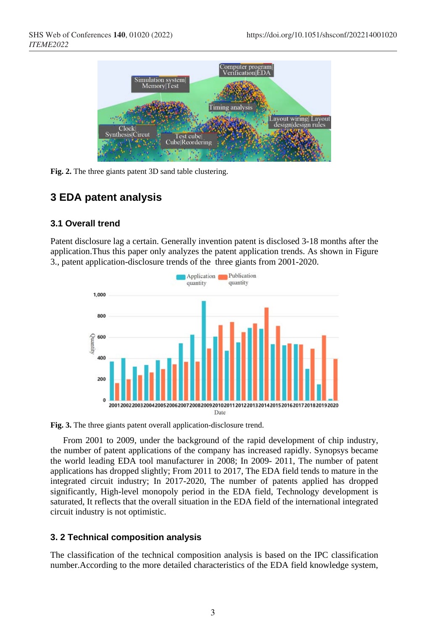

**Fig. 2.** The three giants patent 3D sand table clustering.

### **3 EDA patent analysis**

#### **3.1 Overall trend**

Patent disclosure lag a certain. Generally invention patent is disclosed 3-18 months after the application.Thus this paper only analyzes the patent application trends. As shown in Figure 3., patent application-disclosure trends of the three giants from 2001-2020.



**Fig. 3.** The three giants patent overall application-disclosure trend.

From 2001 to 2009, under the background of the rapid development of chip industry, the number of patent applications of the company has increased rapidly. Synopsys became the world leading EDA tool manufacturer in 2008; In 2009- 2011, The number of patent applications has dropped slightly; From 2011 to 2017, The EDA field tends to mature in the integrated circuit industry; In 2017-2020, The number of patents applied has dropped significantly, High-level monopoly period in the EDA field, Technology development is saturated, It reflects that the overall situation in the EDA field of the international integrated circuit industry is not optimistic.

#### **3. 2 Technical composition analysis**

The classification of the technical composition analysis is based on the IPC classification number.According to the more detailed characteristics of the EDA field knowledge system,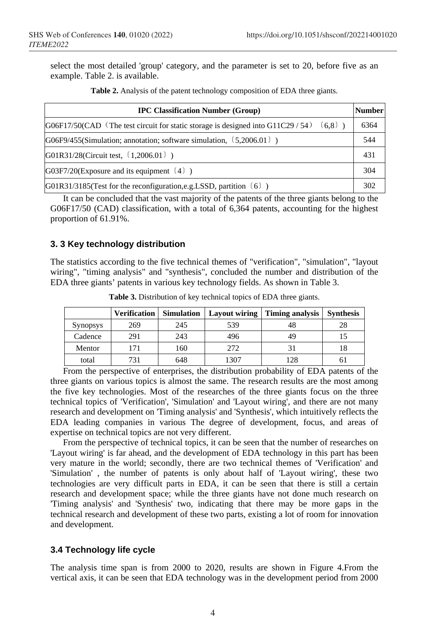select the most detailed 'group' category, and the parameter is set to 20, before five as an example. Table 2. is available.

| <b>IPC Classification Number (Group)</b>                                                      |      |  |
|-----------------------------------------------------------------------------------------------|------|--|
| $(6.8)$ )<br>$G06F17/50(CAD$ (The test circuit for static storage is designed into G11C29/54) | 6364 |  |
| G06F9/455(Simulation; annotation; software simulation, $(5,2006.01)$ )                        | 544  |  |
| $G01R31/28$ (Circuit test, $(1,2006.01)$ )                                                    | 431  |  |
| $G03F7/20$ (Exposure and its equipment $(4)$ )                                                | 304  |  |
| G01R31/3185(Test for the reconfiguration, e.g. LSSD, partition $(6)$ )                        | 302  |  |

**Table 2.** Analysis of the patent technology composition of EDA three giants.

It can be concluded that the vast majority of the patents of the three giants belong to the G06F17/50 (CAD) classification, with a total of 6,364 patents, accounting for the highest proportion of 61.91%.

#### **3. 3 Key technology distribution**

The statistics according to the five technical themes of "verification", "simulation", "layout wiring", "timing analysis" and "synthesis", concluded the number and distribution of the EDA three giants' patents in various key technology fields. As shown in Table 3.

|                 | <b>Verification</b> | <b>Simulation</b> | Lavout wiring | Timing analysis | <b>Synthesis</b> |
|-----------------|---------------------|-------------------|---------------|-----------------|------------------|
| <b>Synopsys</b> | 269                 | 245               | 539           |                 | 28               |
| Cadence         | 291                 | 243               | 496           | 49              |                  |
| Mentor          |                     | 160               | 272           |                 |                  |
| total           |                     | 648               | 1307          | 128             |                  |

**Table 3.** Distribution of key technical topics of EDA three giants.

From the perspective of enterprises, the distribution probability of EDA patents of the three giants on various topics is almost the same. The research results are the most among the five key technologies. Most of the researches of the three giants focus on the three technical topics of 'Verification', 'Simulation' and 'Layout wiring', and there are not many research and development on 'Timing analysis' and 'Synthesis', which intuitively reflects the EDA leading companies in various The degree of development, focus, and areas of expertise on technical topics are not very different.

From the perspective of technical topics, it can be seen that the number of researches on 'Layout wiring' is far ahead, and the development of EDA technology in this part has been very mature in the world; secondly, there are two technical themes of 'Verification' and 'Simulation' , the number of patents is only about half of 'Layout wiring', these two technologies are very difficult parts in EDA, it can be seen that there is still a certain research and development space; while the three giants have not done much research on 'Timing analysis' and 'Synthesis' two, indicating that there may be more gaps in the technical research and development of these two parts, existing a lot of room for innovation and development.

#### **3.4 Technology life cycle**

The analysis time span is from 2000 to 2020, results are shown in Figure 4.From the vertical axis, it can be seen that EDA technology was in the development period from 2000